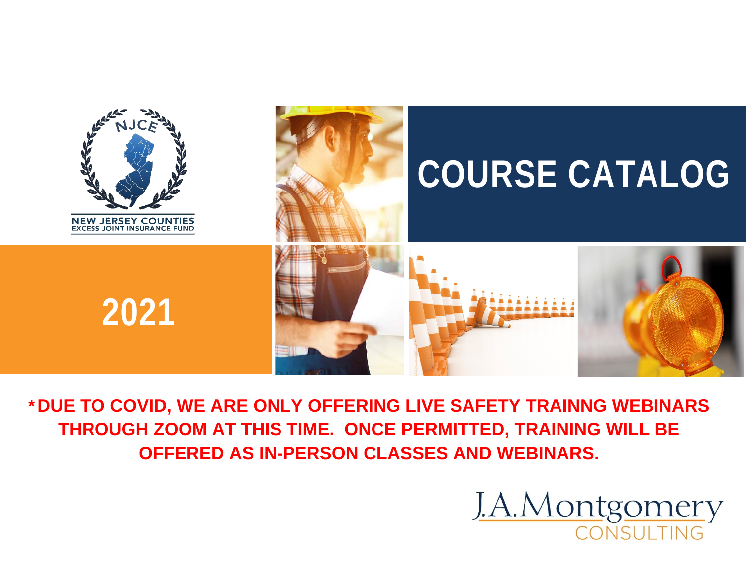

**\*DUE TO COVID, WE ARE ONLY OFFERING LIVE SAFETY TRAINNG WEBINARS THROUGH ZOOM AT THIS TIME. ONCE PERMITTED, TRAINING WILL BE OFFERED AS IN-PERSON CLASSES AND WEBINARS.**

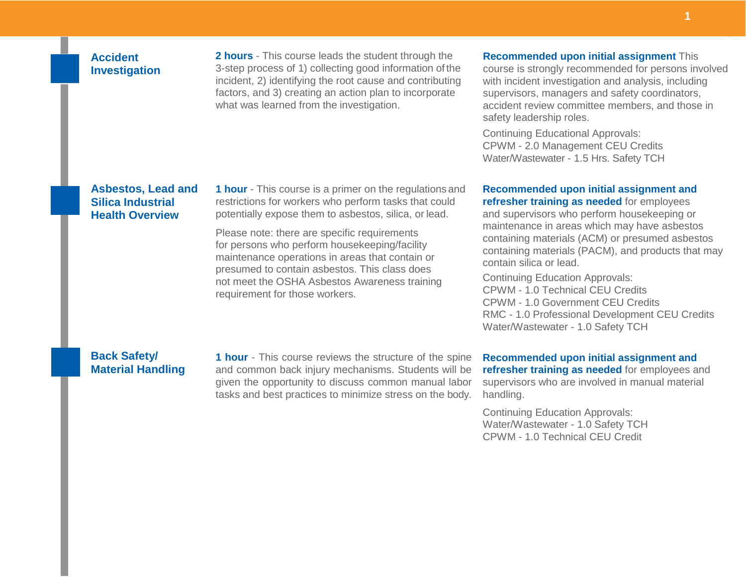## **Accident Investigation**

**2 hours** - This course leads the student through the 3-step process of 1) collecting good information of the incident, 2) identifying the root cause and contributing factors, and 3) creating an action plan to incorporate what was learned from the investigation.

#### **Recommended upon initial assignment** This

course is strongly recommended for persons involved with incident investigation and analysis, including supervisors, managers and safety coordinators, accident review committee members, and those in safety leadership roles.

Continuing Educational Approvals: CPWM - 2.0 Management CEU Credits Water/Wastewater - 1.5 Hrs. Safety TCH

#### **Asbestos, Lead and Silica Industrial Health Overview**

**1 hour** - This course is a primer on the regulations and restrictions for workers who perform tasks that could potentially expose them to asbestos, silica, or lead.

Please note: there are specific requirements for persons who perform housekeeping/facility maintenance operations in areas that contain or presumed to contain asbestos. This class does not meet the OSHA Asbestos Awareness training requirement for those workers.

#### **Recommended upon initial assignment and refresher training as needed** for employees

and supervisors who perform housekeeping or maintenance in areas which may have asbestos containing materials (ACM) or presumed asbestos containing materials (PACM), and products that may contain silica or lead.

Continuing Education Approvals: CPWM - 1.0 Technical CEU Credits CPWM - 1.0 Government CEU Credits RMC - 1.0 Professional Development CEU Credits Water/Wastewater - 1.0 Safety TCH

#### **Back Safety/ Material Handling**

**1 hour** - This course reviews the structure of the spine and common back injury mechanisms. Students will be given the opportunity to discuss common manual labor tasks and best practices to minimize stress on the body.

**Recommended upon initial assignment and refresher training as needed** for employees and supervisors who are involved in manual material handling.

Continuing Education Approvals: Water/Wastewater - 1.0 Safety TCH CPWM - 1.0 Technical CEU Credit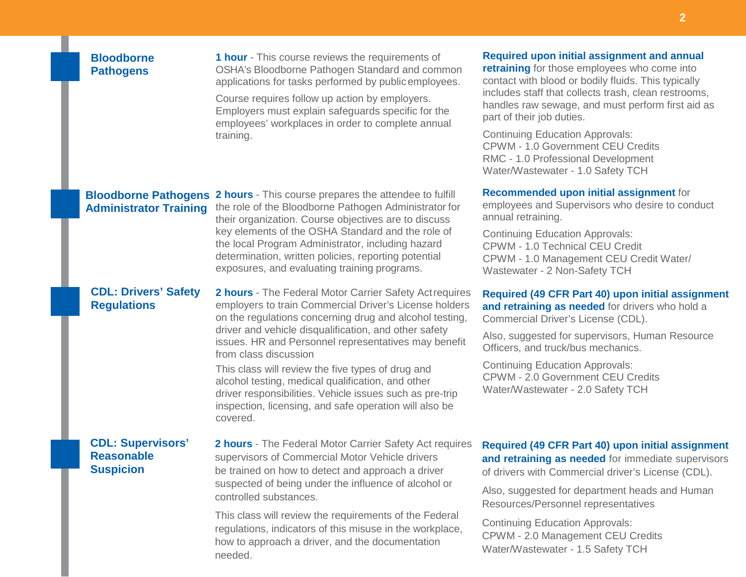# **Bloodborne Pathogens**

**1 hour** - This course reviews the requirements of OSHA's Bloodborne Pathogen Standard and common applications for tasks performed by publicemployees.

Course requires follow up action by employers. Employers must explain safeguards specific for the employees' workplaces in order to complete annual training.

**Bloodborne Pathogens 2 hours** - This course prepares the attendee to fulfill Administrator Training the role of the Bloodborne Pathogen Administrator for their organization. Course objectives are to discuss key elements of the OSHA Standard and the role of the local Program Administrator, including hazard determination, written policies, reporting potential exposures, and evaluating training programs.

# **CDL: Drivers' Safety Regulations**

**2 hours** - The Federal Motor Carrier Safety Actrequires employers to train Commercial Driver's License holders on the regulations concerning drug and alcohol testing, driver and vehicle disqualification, and other safety issues. HR and Personnel representatives may benefit from class discussion

This class will review the five types of drug and alcohol testing, medical qualification, and other driver responsibilities. Vehicle issues such as pre-trip inspection, licensing, and safe operation will also be covered.

## **CDL: Supervisors' Reasonable Suspicion**

**2 hours** - The Federal Motor Carrier Safety Act requires supervisors of Commercial Motor Vehicle drivers be trained on how to detect and approach a driver suspected of being under the influence of alcohol or controlled substances.

This class will review the requirements of the Federal regulations, indicators of this misuse in the workplace, how to approach a driver, and the documentation needed.

# **Required upon initial assignment and annual**

**retraining** for those employees who come into contact with blood or bodily fluids. This typically includes staff that collects trash, clean restrooms, handles raw sewage, and must perform first aid as part of their job duties.

Continuing Education Approvals: CPWM - 1.0 Government CEU Credits RMC - 1.0 Professional Development Water/Wastewater - 1.0 Safety TCH

#### **Recommended upon initial assignment** for

employees and Supervisors who desire to conduct annual retraining.

Continuing Education Approvals: CPWM - 1.0 Technical CEU Credit CPWM - 1.0 Management CEU Credit Water/ Wastewater - 2 Non-Safety TCH

#### **Required (49 CFR Part 40) upon initial assignment and retraining as needed** for drivers who hold a Commercial Driver's License (CDL).

Also, suggested for supervisors, Human Resource Officers, and truck/bus mechanics.

Continuing Education Approvals: CPWM - 2.0 Government CEU Credits Water/Wastewater - 2.0 Safety TCH

# **Required (49 CFR Part 40) upon initial assignment and retraining as needed** for immediate supervisors of drivers with Commercial driver's License (CDL).

Also, suggested for department heads and Human Resources/Personnel representatives

Continuing Education Approvals: CPWM - 2.0 Management CEU Credits Water/Wastewater - 1.5 Safety TCH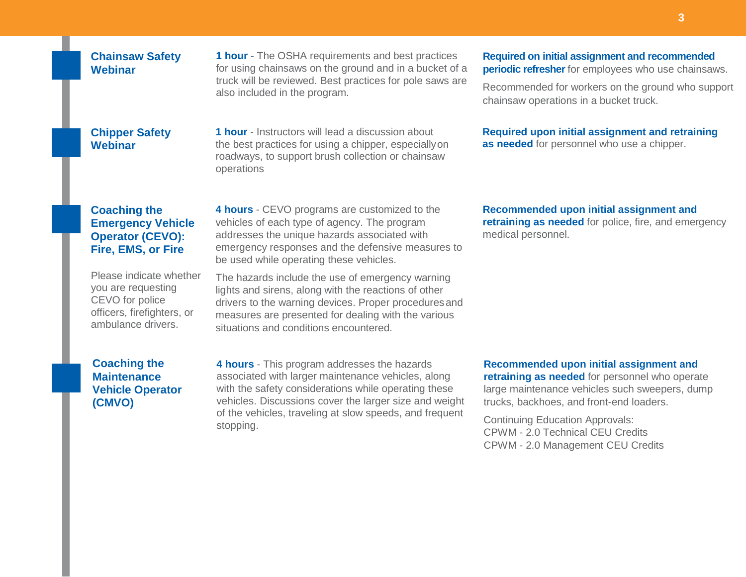#### **Chainsaw Safety Webinar**

**1 hour** - The OSHA requirements and best practices for using chainsaws on the ground and in a bucket of a truck will be reviewed. Best practices for pole saws are also included in the program.

**1 hour** - Instructors will lead a discussion about the best practices for using a chipper, especiallyon roadways, to support brush collection or chainsaw

operations

## **Chipper Safety Webinar**

# **Coaching the Emergency Vehicle Operator (CEVO): Fire, EMS, or Fire**

Please indicate whether you are requesting CEVO for police officers, firefighters, or ambulance drivers.

**Coaching the Maintenance Vehicle Operator (CMVO)**

**4 hours** - CEVO programs are customized to the vehicles of each type of agency. The program addresses the unique hazards associated with emergency responses and the defensive measures to be used while operating these vehicles.

The hazards include the use of emergency warning lights and sirens, along with the reactions of other drivers to the warning devices. Proper proceduresand measures are presented for dealing with the various situations and conditions encountered.

**4 hours** - This program addresses the hazards associated with larger maintenance vehicles, along with the safety considerations while operating these vehicles. Discussions cover the larger size and weight of the vehicles, traveling at slow speeds, and frequent stopping.

**Required on initial assignment and recommended periodic refresher** for employees who use chainsaws.

Recommended for workers on the ground who support chainsaw operations in a bucket truck.

#### **Required upon initial assignment and retraining as needed** for personnel who use a chipper.

**Recommended upon initial assignment and retraining as needed** for police, fire, and emergency medical personnel.

**Recommended upon initial assignment and retraining as needed** for personnel who operate large maintenance vehicles such sweepers, dump trucks, backhoes, and front-end loaders.

Continuing Education Approvals: CPWM - 2.0 Technical CEU Credits CPWM - 2.0 Management CEU Credits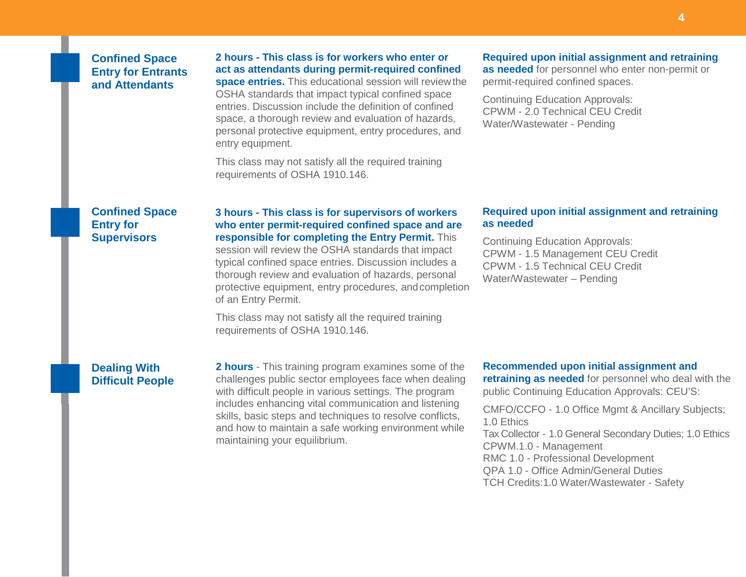## **Confined Space Entry for Entrants and Attendants**

**2 hours - This class is for workers who enter or act as attendants during permit-required confined space entries.** This educational session will reviewthe OSHA standards that impact typical confined space entries. Discussion include the definition of confined space, a thorough review and evaluation of hazards, personal protective equipment, entry procedures, and entry equipment.

This class may not satisfy all the required training requirements of OSHA 1910.146.

#### **Required upon initial assignment and retraining as needed** for personnel who enter non-permit or

permit-required confined spaces.

Continuing Education Approvals: CPWM - 2.0 Technical CEU Credit Water/Wastewater - Pending

### **Confined Space Entry for Supervisors**

**3 hours - This class is for supervisors of workers who enter permit-required confined space and are responsible for completing the Entry Permit.** This

session will review the OSHA standards that impact typical confined space entries. Discussion includes a thorough review and evaluation of hazards, personal protective equipment, entry procedures, andcompletion of an Entry Permit.

This class may not satisfy all the required training requirements of OSHA 1910.146.

#### **Required upon initial assignment and retraining as needed**

Continuing Education Approvals: CPWM - 1.5 Management CEU Credit CPWM - 1.5 Technical CEU Credit Water/Wastewater – Pending

# **Dealing With Difficult People**

**2 hours** - This training program examines some of the challenges public sector employees face when dealing with difficult people in various settings. The program includes enhancing vital communication and listening skills, basic steps and techniques to resolve conflicts, and how to maintain a safe working environment while maintaining your equilibrium.

#### **Recommended upon initial assignment and**

**retraining as needed** for personnel who deal with the public Continuing Education Approvals: CEU'S:

CMFO/CCFO - 1.0 Office Mgmt & Ancillary Subjects; 1.0 Ethics Tax Collector - 1.0 General Secondary Duties; 1.0 Ethics CPWM.1.0 - Management RMC 1.0 - Professional Development QPA 1.0 - Office Admin/General Duties TCH Credits:1.0 Water/Wastewater - Safety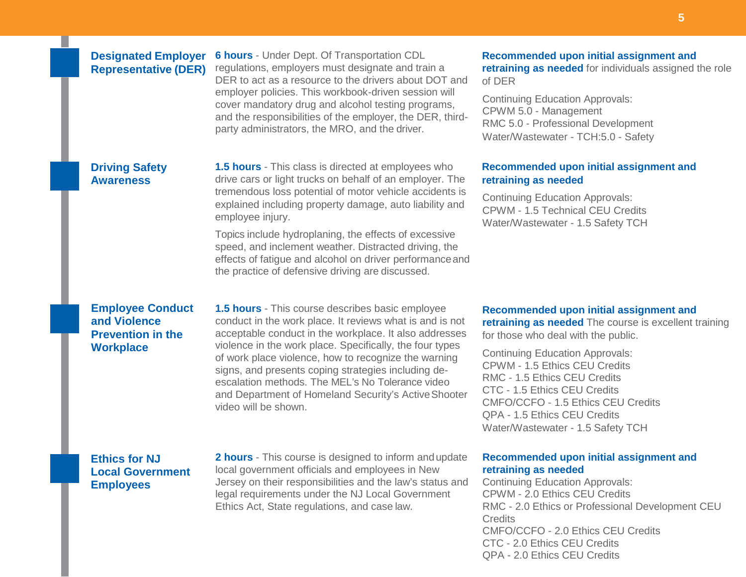## **Designated Employer Representative (DER)**

**6 hours** - Under Dept. Of Transportation CDL regulations, employers must designate and train a DER to act as a resource to the drivers about DOT and employer policies. This workbook-driven session will cover mandatory drug and alcohol testing programs, and the responsibilities of the employer, the DER, thirdparty administrators, the MRO, and the driver.

# **Driving Safety Awareness**

**1.5 hours** - This class is directed at employees who drive cars or light trucks on behalf of an employer. The tremendous loss potential of motor vehicle accidents is explained including property damage, auto liability and employee injury.

Topics include hydroplaning, the effects of excessive speed, and inclement weather. Distracted driving, the effects of fatigue and alcohol on driver performanceand the practice of defensive driving are discussed.

# **Employee Conduct and Violence Prevention in the Workplace**

**1.5 hours** - This course describes basic employee conduct in the work place. It reviews what is and is not acceptable conduct in the workplace. It also addresses violence in the work place. Specifically, the four types of work place violence, how to recognize the warning signs, and presents coping strategies including deescalation methods. The MEL's No Tolerance video and Department of Homeland Security's Active Shooter video will be shown.

**Recommended upon initial assignment and retraining as needed** The course is excellent training for those who deal with the public.

Continuing Education Approvals: CPWM - 1.5 Ethics CEU Credits RMC - 1.5 Ethics CEU Credits CTC - 1.5 Ethics CEU Credits CMFO/CCFO - 1.5 Ethics CEU Credits QPA - 1.5 Ethics CEU Credits Water/Wastewater - 1.5 Safety TCH

# **Ethics for NJ Local Government Employees**

**2 hours** - This course is designed to inform andupdate local government officials and employees in New Jersey on their responsibilities and the law's status and legal requirements under the NJ Local Government Ethics Act, State regulations, and case law.

#### **Recommended upon initial assignment and retraining as needed**

Continuing Education Approvals: CPWM - 2.0 Ethics CEU Credits RMC - 2.0 Ethics or Professional Development CEU **Credits** CMFO/CCFO - 2.0 Ethics CEU Credits CTC - 2.0 Ethics CEU Credits QPA - 2.0 Ethics CEU Credits

### **Recommended upon initial assignment and retraining as needed** for individuals assigned the role of DER

Continuing Education Approvals: CPWM 5.0 - Management RMC 5.0 - Professional Development Water/Wastewater - TCH:5.0 - Safety

## **Recommended upon initial assignment and retraining as needed**

Continuing Education Approvals: CPWM - 1.5 Technical CEU Credits Water/Wastewater - 1.5 Safety TCH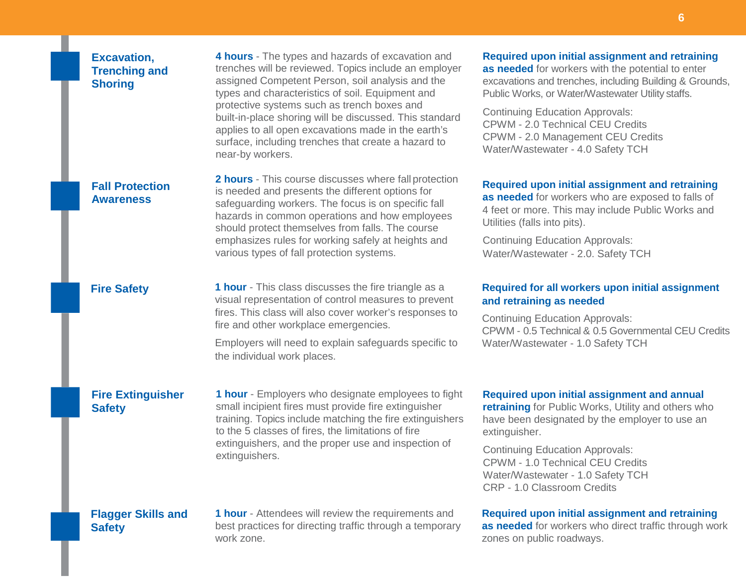## **Excavation, Trenching and Shoring**

**4 hours** - The types and hazards of excavation and trenches will be reviewed. Topics include an employer assigned Competent Person, soil analysis and the types and characteristics of soil. Equipment and protective systems such as trench boxes and built-in-place shoring will be discussed. This standard applies to all open excavations made in the earth's surface, including trenches that create a hazard to near-by workers.

# **Fall Protection Awareness**

**2 hours** - This course discusses where fall protection is needed and presents the different options for safeguarding workers. The focus is on specific fall hazards in common operations and how employees should protect themselves from falls. The course emphasizes rules for working safely at heights and various types of fall protection systems.

**Fire Safety 1 hour** - This class discusses the fire triangle as a visual representation of control measures to prevent fires. This class will also cover worker's responses to fire and other workplace emergencies.

> Employers will need to explain safeguards specific to the individual work places.

# **Fire Extinguisher Safety**

**1 hour** - Employers who designate employees to fight small incipient fires must provide fire extinguisher training. Topics include matching the fire extinguishers to the 5 classes of fires, the limitations of fire extinguishers, and the proper use and inspection of extinguishers.

#### **Required upon initial assignment and annual**

**retraining** for Public Works, Utility and others who have been designated by the employer to use an extinguisher.

Continuing Education Approvals: CPWM - 1.0 Technical CEU Credits Water/Wastewater - 1.0 Safety TCH CRP - 1.0 Classroom Credits

#### **Required upon initial assignment and retraining**

**as needed** for workers who direct traffic through work zones on public roadways.

#### **Flagger Skills and Safety**

**1 hour** - Attendees will review the requirements and best practices for directing traffic through a temporary work zone.

# **Required upon initial assignment and retraining**

**as needed** for workers with the potential to enter excavations and trenches, including Building & Grounds, Public Works, or Water/Wastewater Utility staffs.

Continuing Education Approvals: CPWM - 2.0 Technical CEU Credits CPWM - 2.0 Management CEU Credits Water/Wastewater - 4.0 Safety TCH

**Required upon initial assignment and retraining as needed** for workers who are exposed to falls of 4 feet or more. This may include Public Works and Utilities (falls into pits).

Continuing Education Approvals: Water/Wastewater - 2.0. Safety TCH

## **Required for all workers upon initial assignment and retraining as needed**

Continuing Education Approvals: CPWM - 0.5 Technical & 0.5 Governmental CEU Credits Water/Wastewater - 1.0 Safety TCH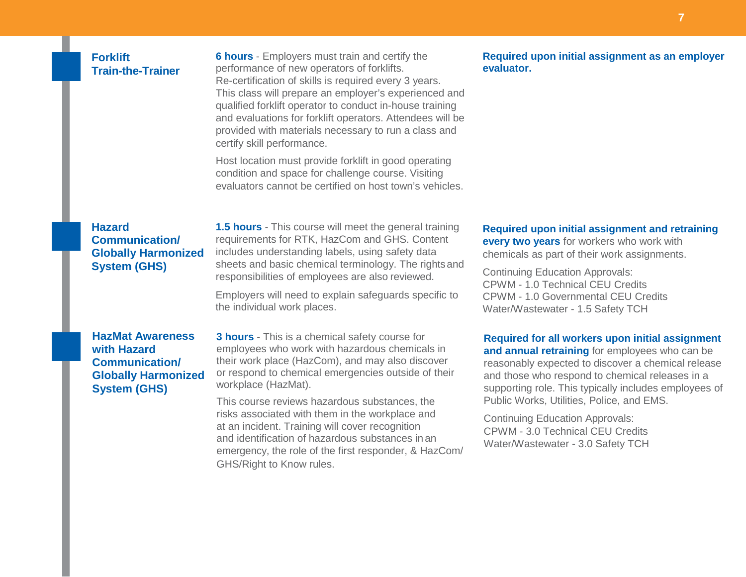# **Forklift Train-the-Trainer**

**6 hours** - Employers must train and certify the performance of new operators of forklifts. Re-certification of skills is required every 3 years. This class will prepare an employer's experienced and qualified forklift operator to conduct in-house training and evaluations for forklift operators. Attendees will be provided with materials necessary to run a class and certify skill performance.

Host location must provide forklift in good operating condition and space for challenge course. Visiting evaluators cannot be certified on host town's vehicles.

**Hazard Communication/ Globally Harmonized System (GHS)**

**1.5 hours** - This course will meet the general training requirements for RTK, HazCom and GHS. Content includes understanding labels, using safety data sheets and basic chemical terminology. The rightsand responsibilities of employees are also reviewed.

Employers will need to explain safeguards specific to the individual work places.

## **HazMat Awareness with Hazard Communication/ Globally Harmonized System (GHS)**

**3 hours** - This is a chemical safety course for employees who work with hazardous chemicals in their work place (HazCom), and may also discover or respond to chemical emergencies outside of their workplace (HazMat).

This course reviews hazardous substances, the risks associated with them in the workplace and at an incident. Training will cover recognition and identification of hazardous substances in an emergency, the role of the first responder, & HazCom/ GHS/Right to Know rules.

#### **Required upon initial assignment as an employer evaluator.**

#### **Required upon initial assignment and retraining every two years** for workers who work with chemicals as part of their work assignments.

Continuing Education Approvals: CPWM - 1.0 Technical CEU Credits CPWM - 1.0 Governmental CEU Credits Water/Wastewater - 1.5 Safety TCH

**Required for all workers upon initial assignment and annual retraining** for employees who can be reasonably expected to discover a chemical release and those who respond to chemical releases in a supporting role. This typically includes employees of Public Works, Utilities, Police, and EMS.

Continuing Education Approvals: CPWM - 3.0 Technical CEU Credits Water/Wastewater - 3.0 Safety TCH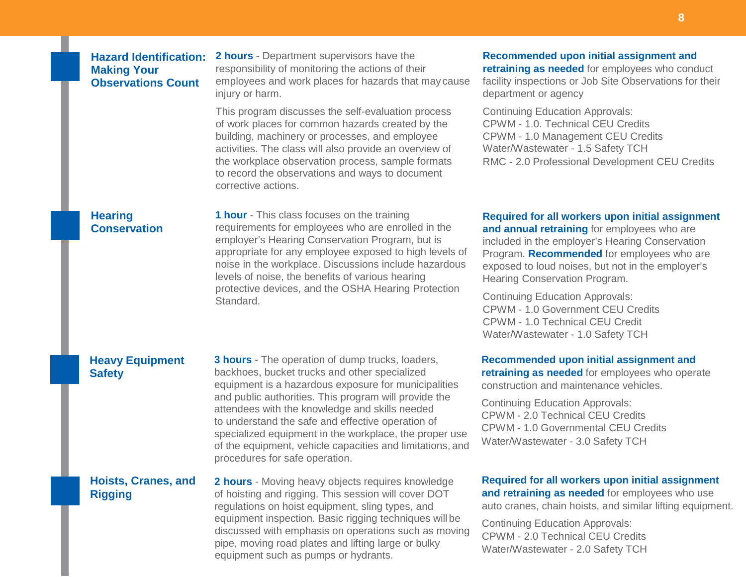# **Hazard Identification: Making Your Observations Count**

**2 hours** - Department supervisors have the responsibility of monitoring the actions of their employees and work places for hazards that may cause injury or harm.

This program discusses the self-evaluation process of work places for common hazards created by the building, machinery or processes, and employee activities. The class will also provide an overview of the workplace observation process, sample formats to record the observations and ways to document corrective actions.

#### **Hearing Conservation**

**1 hour** - This class focuses on the training requirements for employees who are enrolled in the employer's Hearing Conservation Program, but is appropriate for any employee exposed to high levels of noise in the workplace. Discussions include hazardous levels of noise, the benefits of various hearing protective devices, and the OSHA Hearing Protection Standard.

# **Recommended upon initial assignment and retraining as needed** for employees who conduct

facility inspections or Job Site Observations for their department or agency

Continuing Education Approvals: CPWM - 1.0. Technical CEU Credits CPWM - 1.0 Management CEU Credits Water/Wastewater - 1.5 Safety TCH RMC - 2.0 Professional Development CEU Credits

#### **Required for all workers upon initial assignment and annual retraining** for employees who are included in the employer's Hearing Conservation Program. **Recommended** for employees who are exposed to loud noises, but not in the employer's Hearing Conservation Program.

Continuing Education Approvals: CPWM - 1.0 Government CEU Credits CPWM - 1.0 Technical CEU Credit Water/Wastewater - 1.0 Safety TCH

## **Heavy Equipment Safety**

**3 hours** - The operation of dump trucks, loaders, backhoes, bucket trucks and other specialized equipment is a hazardous exposure for municipalities and public authorities. This program will provide the attendees with the knowledge and skills needed to understand the safe and effective operation of specialized equipment in the workplace, the proper use of the equipment, vehicle capacities and limitations, and procedures for safe operation.

# **Hoists, Cranes, and Rigging**

**2 hours** - Moving heavy objects requires knowledge of hoisting and rigging. This session will cover DOT regulations on hoist equipment, sling types, and equipment inspection. Basic rigging techniques willbe discussed with emphasis on operations such as moving pipe, moving road plates and lifting large or bulky equipment such as pumps or hydrants.

**retraining as needed** for employees who operate construction and maintenance vehicles.

**Recommended upon initial assignment and** 

Continuing Education Approvals: CPWM - 2.0 Technical CEU Credits CPWM - 1.0 Governmental CEU Credits Water/Wastewater - 3.0 Safety TCH

**Required for all workers upon initial assignment and retraining as needed** for employees who use auto cranes, chain hoists, and similar lifting equipment.

Continuing Education Approvals: CPWM - 2.0 Technical CEU Credits Water/Wastewater - 2.0 Safety TCH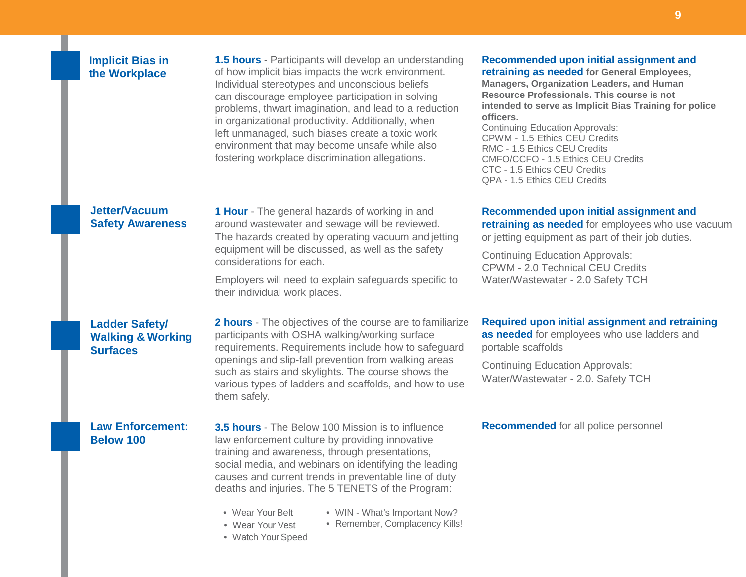## **Implicit Bias in the Workplace**

**1.5 hours** - Participants will develop an understanding of how implicit bias impacts the work environment. Individual stereotypes and unconscious beliefs can discourage employee participation in solving problems, thwart imagination, and lead to a reduction in organizational productivity. Additionally, when left unmanaged, such biases create a toxic work environment that may become unsafe while also fostering workplace discrimination allegations.

#### **Jetter/Vacuum Safety Awareness**

**1 Hour** - The general hazards of working in and around wastewater and sewage will be reviewed. The hazards created by operating vacuum and jetting equipment will be discussed, as well as the safety considerations for each.

Employers will need to explain safeguards specific to their individual work places.

## **Ladder Safety/ Walking & Working Surfaces**

**2 hours** - The objectives of the course are to familiarize participants with OSHA walking/working surface requirements. Requirements include how to safeguard openings and slip-fall prevention from walking areas such as stairs and skylights. The course shows the various types of ladders and scaffolds, and how to use them safely.

# **Law Enforcement: Below 100**

**3.5 hours** - The Below 100 Mission is to influence law enforcement culture by providing innovative training and awareness, through presentations, social media, and webinars on identifying the leading causes and current trends in preventable line of duty deaths and injuries. The 5 TENETS of the Program:

- Wear Your Belt
- WIN What's Important Now?
- Wear Your Vest • Remember, Complacency Kills!
- Watch Your Speed

# **Recommended upon initial assignment and**

**retraining as needed for General Employees, Managers, Organization Leaders, and Human Resource Professionals. This course is not intended to serve as Implicit Bias Training for police officers.**

Continuing Education Approvals: CPWM - 1.5 Ethics CEU Credits RMC - 1.5 Ethics CEU Credits CMFO/CCFO - 1.5 Ethics CEU Credits CTC - 1.5 Ethics CEU Credits QPA - 1.5 Ethics CEU Credits

#### **Recommended upon initial assignment and**

**retraining as needed** for employees who use vacuum or jetting equipment as part of their job duties.

Continuing Education Approvals: CPWM - 2.0 Technical CEU Credits Water/Wastewater - 2.0 Safety TCH

## **Required upon initial assignment and retraining**

**as needed** for employees who use ladders and portable scaffolds

Continuing Education Approvals: Water/Wastewater - 2.0. Safety TCH

#### **Recommended** for all police personnel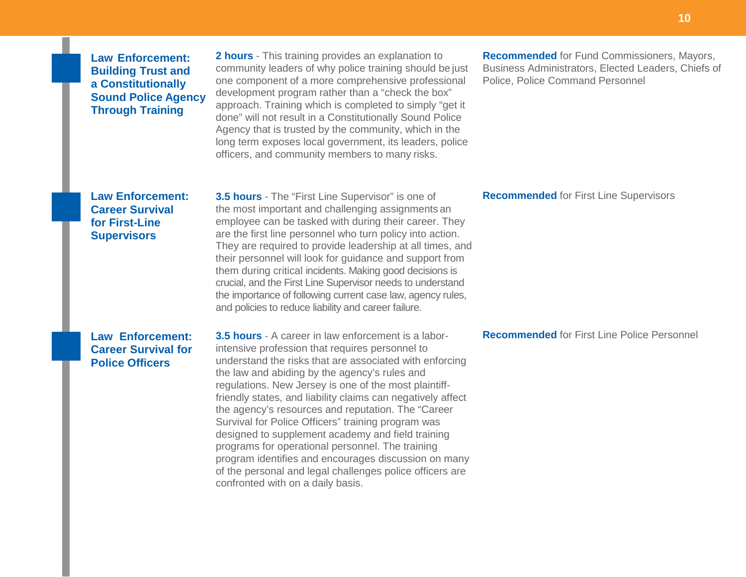# **Law Enforcement: Building Trust and a Constitutionally Sound Police Agency Through Training**

**2 hours** - This training provides an explanation to community leaders of why police training should be just one component of a more comprehensive professional development program rather than a "check the box" approach. Training which is completed to simply "get it done" will not result in a Constitutionally Sound Police Agency that is trusted by the community, which in the long term exposes local government, its leaders, police officers, and community members to many risks.

**Recommended** for Fund Commissioners, Mayors, Business Administrators, Elected Leaders, Chiefs of Police, Police Command Personnel

#### **Recommended** for First Line Supervisors

# **Law Enforcement: Career Survival for First-Line Supervisors**

**3.5 hours** - The "First Line Supervisor" is one of the most important and challenging assignments an employee can be tasked with during their career. They are the first line personnel who turn policy into action. They are required to provide leadership at all times, and their personnel will look for guidance and support from them during critical incidents. Making good decisions is crucial, and the First Line Supervisor needs to understand the importance of following current case law, agency rules, and policies to reduce liability and career failure.

## **Law Enforcement: Career Survival for Police Officers**

**3.5 hours** - A career in law enforcement is a laborintensive profession that requires personnel to understand the risks that are associated with enforcing the law and abiding by the agency's rules and regulations. New Jersey is one of the most plaintifffriendly states, and liability claims can negatively affect the agency's resources and reputation. The "Career Survival for Police Officers" training program was designed to supplement academy and field training programs for operational personnel. The training program identifies and encourages discussion on many of the personal and legal challenges police officers are confronted with on a daily basis.

**Recommended** for First Line Police Personnel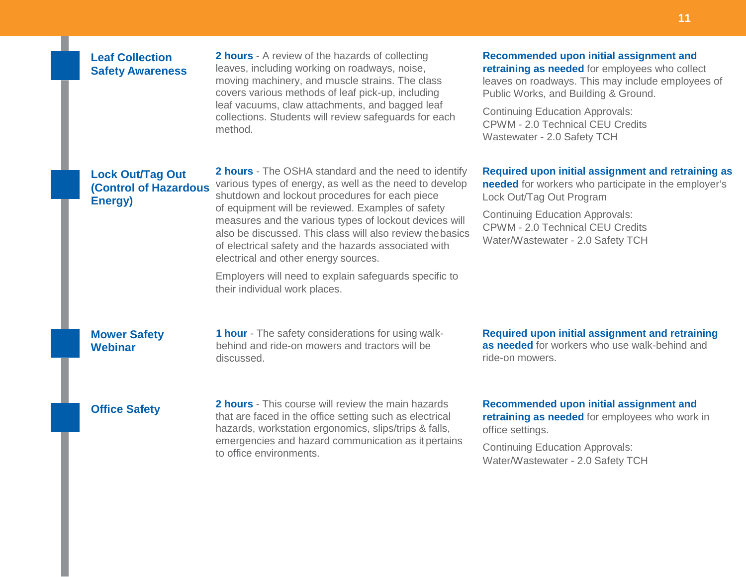# **Leaf Collection Safety Awareness**

**2 hours** - A review of the hazards of collecting leaves, including working on roadways, noise, moving machinery, and muscle strains. The class covers various methods of leaf pick-up, including leaf vacuums, claw attachments, and bagged leaf collections. Students will review safeguards for each method.

#### **Recommended upon initial assignment and retraining as needed** for employees who collect leaves on roadways. This may include employees of

Public Works, and Building & Ground. Continuing Education Approvals: CPWM - 2.0 Technical CEU Credits Wastewater - 2.0 Safety TCH

#### **Required upon initial assignment and retraining as**

**needed** for workers who participate in the employer's Lock Out/Tag Out Program

Continuing Education Approvals: CPWM - 2.0 Technical CEU Credits Water/Wastewater - 2.0 Safety TCH

# **Lock Out/Tag Out (Control of Hazardous Energy)**

**2 hours** - The OSHA standard and the need to identify various types of energy, as well as the need to develop shutdown and lockout procedures for each piece of equipment will be reviewed. Examples of safety measures and the various types of lockout devices will also be discussed. This class will also review thebasics of electrical safety and the hazards associated with electrical and other energy sources.

Employers will need to explain safeguards specific to their individual work places.

## **Mower Safety Webinar**

**1 hour** - The safety considerations for using walkbehind and ride-on mowers and tractors will be discussed.

**Required upon initial assignment and retraining as needed** for workers who use walk-behind and ride-on mowers.

# **Office Safety**

**2**

**2 hours** - This course will review the main hazards that are faced in the office setting such as electrical hazards, workstation ergonomics, slips/trips & falls, emergencies and hazard communication as it pertains to office environments.

**Recommended upon initial assignment and retraining as needed** for employees who work in office settings.

Continuing Education Approvals: Water/Wastewater - 2.0 Safety TCH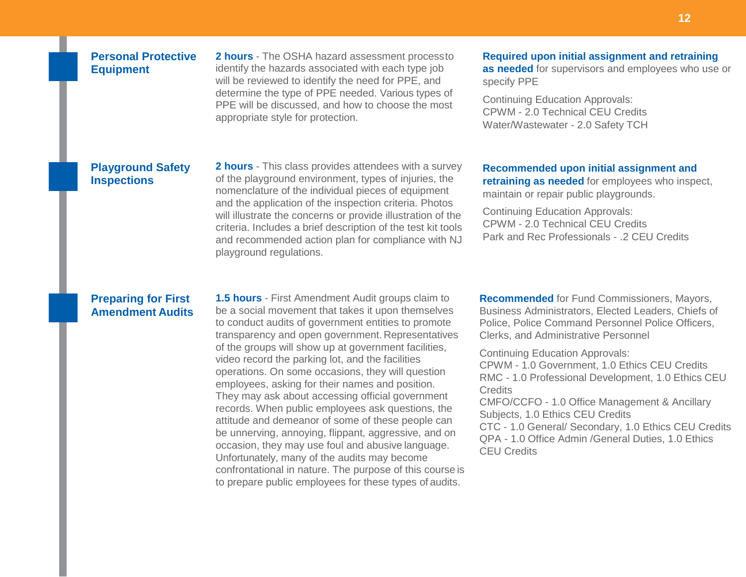# **Personal Protective Equipment**

**2 hours** - The OSHA hazard assessment processto identify the hazards associated with each type job will be reviewed to identify the need for PPE, and determine the type of PPE needed. Various types of PPE will be discussed, and how to choose the most appropriate style for protection.

# **Required upon initial assignment and retraining**

**as needed** for supervisors and employees who use or specify PPE

Continuing Education Approvals: CPWM - 2.0 Technical CEU Credits Water/Wastewater - 2.0 Safety TCH

#### **Playground Safety Inspections**

**2 hours** - This class provides attendees with a survey of the playground environment, types of injuries, the nomenclature of the individual pieces of equipment and the application of the inspection criteria. Photos will illustrate the concerns or provide illustration of the criteria. Includes a brief description of the test kit tools and recommended action plan for compliance with NJ playground regulations.

**Recommended upon initial assignment and retraining as needed** for employees who inspect, maintain or repair public playgrounds.

Continuing Education Approvals: CPWM - 2.0 Technical CEU Credits Park and Rec Professionals - .2 CEU Credits

#### **Preparing for First Amendment Audits**

**1.5 hours** - First Amendment Audit groups claim to be a social movement that takes it upon themselves to conduct audits of government entities to promote transparency and open government. Representatives of the groups will show up at government facilities, video record the parking lot, and the facilities operations. On some occasions, they will question employees, asking for their names and position. They may ask about accessing official government records. When public employees ask questions, the attitude and demeanor of some of these people can be unnerving, annoying, flippant, aggressive, and on occasion, they may use foul and abusive language. Unfortunately, many of the audits may become confrontational in nature. The purpose of this course is to prepare public employees for these types of audits.

**Recommended** for Fund Commissioners, Mayors, Business Administrators, Elected Leaders, Chiefs of Police, Police Command Personnel Police Officers, Clerks, and Administrative Personnel

Continuing Education Approvals: CPWM - 1.0 Government, 1.0 Ethics CEU Credits RMC - 1.0 Professional Development, 1.0 Ethics CEU **Credits** CMFO/CCFO - 1.0 Office Management & Ancillary Subjects, 1.0 Ethics CEU Credits CTC - 1.0 General/ Secondary, 1.0 Ethics CEU Credits QPA - 1.0 Office Admin /General Duties, 1.0 Ethics CEU Credits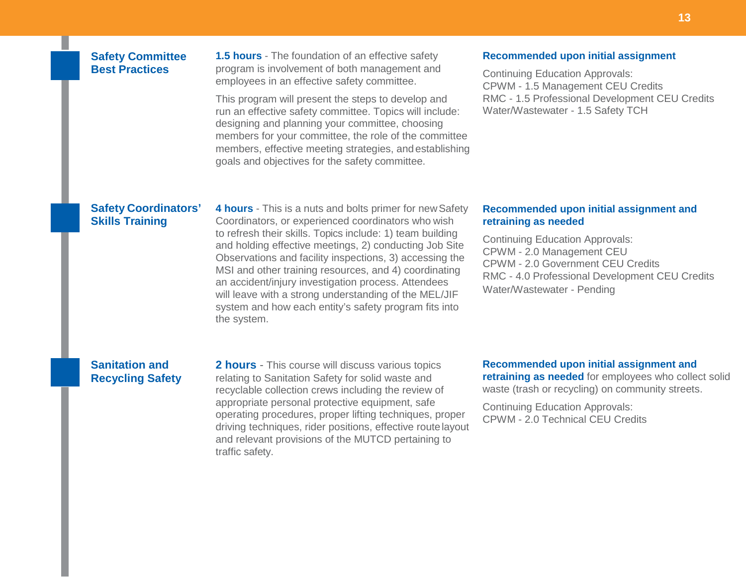# **Safety Committee Best Practices**

**1.5 hours** - The foundation of an effective safety program is involvement of both management and employees in an effective safety committee.

This program will present the steps to develop and run an effective safety committee. Topics will include: designing and planning your committee, choosing members for your committee, the role of the committee members, effective meeting strategies, and establishing goals and objectives for the safety committee.

#### **Recommended upon initial assignment**

Continuing Education Approvals: CPWM - 1.5 Management CEU Credits RMC - 1.5 Professional Development CEU Credits Water/Wastewater - 1.5 Safety TCH

## **Safety Coordinators' Skills Training**

**4 hours** - This is a nuts and bolts primer for newSafety Coordinators, or experienced coordinators who wish to refresh their skills. Topics include: 1) team building and holding effective meetings, 2) conducting Job Site Observations and facility inspections, 3) accessing the MSI and other training resources, and 4) coordinating an accident/injury investigation process. Attendees will leave with a strong understanding of the MEL/JIF system and how each entity's safety program fits into the system.

#### **Recommended upon initial assignment and retraining as needed**

Continuing Education Approvals: CPWM - 2.0 Management CEU CPWM - 2.0 Government CEU Credits RMC - 4.0 Professional Development CEU Credits Water/Wastewater - Pending

# **Sanitation and Recycling Safety**

**2 hours** - This course will discuss various topics relating to Sanitation Safety for solid waste and recyclable collection crews including the review of appropriate personal protective equipment, safe operating procedures, proper lifting techniques, proper driving techniques, rider positions, effective routelayout and relevant provisions of the MUTCD pertaining to traffic safety.

**Recommended upon initial assignment and retraining as needed** for employees who collect solid waste (trash or recycling) on community streets.

Continuing Education Approvals: CPWM - 2.0 Technical CEU Credits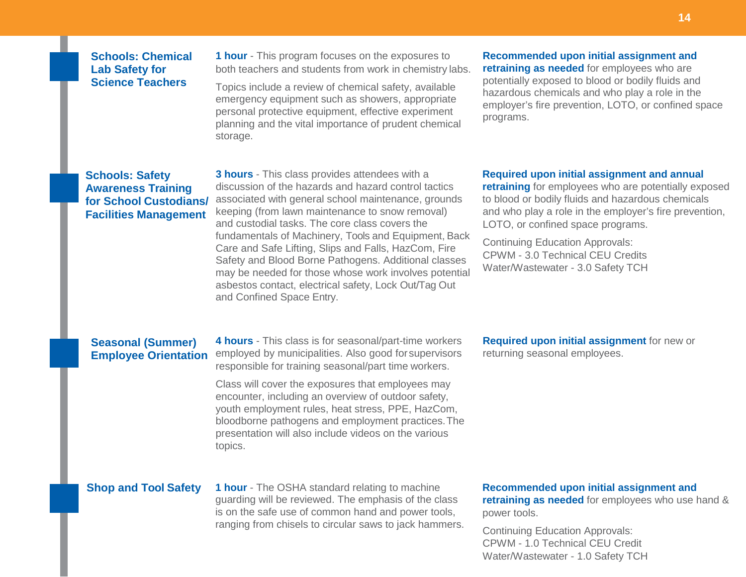## **Schools: Chemical Lab Safety for Science Teachers**

**1 hour** - This program focuses on the exposures to both teachers and students from work in chemistry labs.

Topics include a review of chemical safety, available emergency equipment such as showers, appropriate personal protective equipment, effective experiment planning and the vital importance of prudent chemical storage.

#### **Recommended upon initial assignment and retraining as needed** for employees who are potentially exposed to blood or bodily fluids and hazardous chemicals and who play a role in the employer's fire prevention, LOTO, or confined space programs.

## **Schools: Safety Awareness Training for School Custodians/ Facilities Management**

**3 hours** - This class provides attendees with a discussion of the hazards and hazard control tactics associated with general school maintenance, grounds keeping (from lawn maintenance to snow removal) and custodial tasks. The core class covers the fundamentals of Machinery, Tools and Equipment, Back Care and Safe Lifting, Slips and Falls, HazCom, Fire Safety and Blood Borne Pathogens. Additional classes may be needed for those whose work involves potential asbestos contact, electrical safety, Lock Out/Tag Out and Confined Space Entry.

#### **Required upon initial assignment and annual**

**retraining** for employees who are potentially exposed to blood or bodily fluids and hazardous chemicals and who play a role in the employer's fire prevention, LOTO, or confined space programs.

Continuing Education Approvals: CPWM - 3.0 Technical CEU Credits Water/Wastewater - 3.0 Safety TCH

## **Seasonal (Summer) Employee Orientation**

**4 hours** - This class is for seasonal/part-time workers employed by municipalities. Also good forsupervisors responsible for training seasonal/part time workers.

Class will cover the exposures that employees may encounter, including an overview of outdoor safety, youth employment rules, heat stress, PPE, HazCom, bloodborne pathogens and employment practices.The presentation will also include videos on the various topics.

**Required upon initial assignment** for new or returning seasonal employees.

**Shop and Tool Safety** 1 hour - The OSHA standard relating to machine guarding will be reviewed. The emphasis of the class is on the safe use of common hand and power tools, ranging from chisels to circular saws to jack hammers.

#### **Recommended upon initial assignment and**

**retraining as needed** for employees who use hand & power tools.

Continuing Education Approvals: CPWM - 1.0 Technical CEU Credit Water/Wastewater - 1.0 Safety TCH